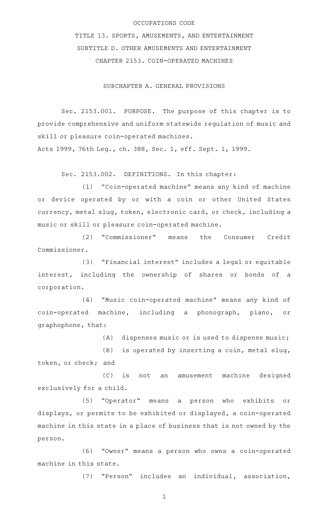## OCCUPATIONS CODE

TITLE 13. SPORTS, AMUSEMENTS, AND ENTERTAINMENT SUBTITLE D. OTHER AMUSEMENTS AND ENTERTAINMENT CHAPTER 2153. COIN-OPERATED MACHINES

SUBCHAPTER A. GENERAL PROVISIONS

Sec. 2153.001. PURPOSE. The purpose of this chapter is to provide comprehensive and uniform statewide regulation of music and skill or pleasure coin-operated machines.

Acts 1999, 76th Leg., ch. 388, Sec. 1, eff. Sept. 1, 1999.

Sec. 2153.002. DEFINITIONS. In this chapter:

(1) "Coin-operated machine" means any kind of machine or device operated by or with a coin or other United States currency, metal slug, token, electronic card, or check, including a music or skill or pleasure coin-operated machine.

(2) "Commissioner" means the Consumer Credit Commissioner.

(3) "Financial interest" includes a legal or equitable interest, including the ownership of shares or bonds of a corporation.

(4) "Music coin-operated machine" means any kind of coin-operated machine, including a phonograph, piano, or graphophone, that:

 $(A)$  dispenses music or is used to dispense music;

 $(B)$  is operated by inserting a coin, metal slug, token, or check; and

(C) is not an amusement machine designed exclusively for a child.

(5) "Operator" means a person who exhibits or displays, or permits to be exhibited or displayed, a coin-operated machine in this state in a place of business that is not owned by the person.

(6) "Owner" means a person who owns a coin-operated machine in this state.

(7) "Person" includes an individual, association,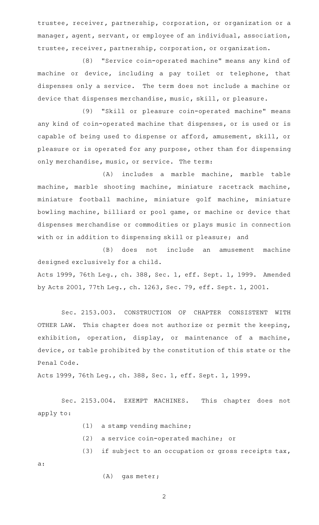trustee, receiver, partnership, corporation, or organization or a manager, agent, servant, or employee of an individual, association, trustee, receiver, partnership, corporation, or organization.

(8) "Service coin-operated machine" means any kind of machine or device, including a pay toilet or telephone, that dispenses only a service. The term does not include a machine or device that dispenses merchandise, music, skill, or pleasure.

(9) "Skill or pleasure coin-operated machine" means any kind of coin-operated machine that dispenses, or is used or is capable of being used to dispense or afford, amusement, skill, or pleasure or is operated for any purpose, other than for dispensing only merchandise, music, or service. The term:

(A) includes a marble machine, marble table machine, marble shooting machine, miniature racetrack machine, miniature football machine, miniature golf machine, miniature bowling machine, billiard or pool game, or machine or device that dispenses merchandise or commodities or plays music in connection with or in addition to dispensing skill or pleasure; and

(B) does not include an amusement machine designed exclusively for a child. Acts 1999, 76th Leg., ch. 388, Sec. 1, eff. Sept. 1, 1999. Amended

by Acts 2001, 77th Leg., ch. 1263, Sec. 79, eff. Sept. 1, 2001.

Sec. 2153.003. CONSTRUCTION OF CHAPTER CONSISTENT WITH OTHER LAW. This chapter does not authorize or permit the keeping, exhibition, operation, display, or maintenance of a machine, device, or table prohibited by the constitution of this state or the Penal Code.

Acts 1999, 76th Leg., ch. 388, Sec. 1, eff. Sept. 1, 1999.

Sec. 2153.004. EXEMPT MACHINES. This chapter does not apply to:

- $(1)$  a stamp vending machine;
- (2) a service coin-operated machine; or
- $(3)$  if subject to an occupation or gross receipts tax,

a:

 $(A)$  gas meter;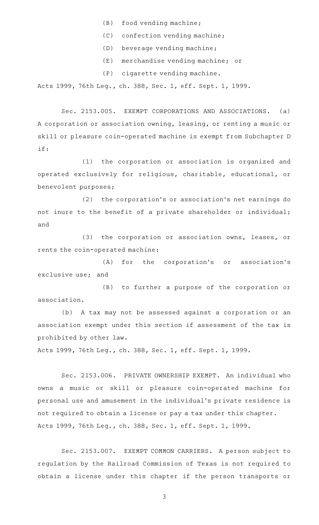- $(B)$  food vending machine;
- $(C)$  confection vending machine;
- (D) beverage vending machine;
- (E) merchandise vending machine; or
- $(F)$  cigarette vending machine.

Acts 1999, 76th Leg., ch. 388, Sec. 1, eff. Sept. 1, 1999.

Sec. 2153.005. EXEMPT CORPORATIONS AND ASSOCIATIONS. (a) A corporation or association owning, leasing, or renting a music or skill or pleasure coin-operated machine is exempt from Subchapter D if:

(1) the corporation or association is organized and operated exclusively for religious, charitable, educational, or benevolent purposes;

(2) the corporation's or association's net earnings do not inure to the benefit of a private shareholder or individual; and

(3) the corporation or association owns, leases, or rents the coin-operated machine:

(A) for the corporation's or association's exclusive use; and

(B) to further a purpose of the corporation or association.

(b) A tax may not be assessed against a corporation or an association exempt under this section if assessment of the tax is prohibited by other law.

Acts 1999, 76th Leg., ch. 388, Sec. 1, eff. Sept. 1, 1999.

Sec. 2153.006. PRIVATE OWNERSHIP EXEMPT. An individual who owns a music or skill or pleasure coin-operated machine for personal use and amusement in the individual 's private residence is not required to obtain a license or pay a tax under this chapter. Acts 1999, 76th Leg., ch. 388, Sec. 1, eff. Sept. 1, 1999.

Sec. 2153.007. EXEMPT COMMON CARRIERS. A person subject to regulation by the Railroad Commission of Texas is not required to obtain a license under this chapter if the person transports or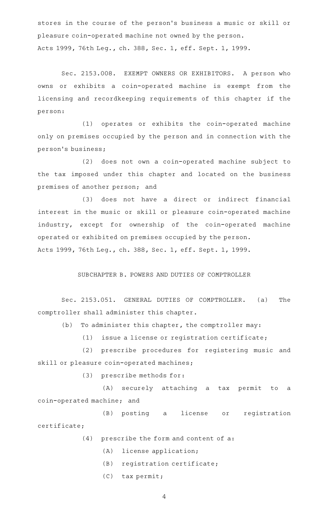stores in the course of the person 's business a music or skill or pleasure coin-operated machine not owned by the person. Acts 1999, 76th Leg., ch. 388, Sec. 1, eff. Sept. 1, 1999.

Sec. 2153.008. EXEMPT OWNERS OR EXHIBITORS. A person who owns or exhibits a coin-operated machine is exempt from the licensing and recordkeeping requirements of this chapter if the person:

(1) operates or exhibits the coin-operated machine only on premises occupied by the person and in connection with the person 's business;

(2) does not own a coin-operated machine subject to the tax imposed under this chapter and located on the business premises of another person; and

(3) does not have a direct or indirect financial interest in the music or skill or pleasure coin-operated machine industry, except for ownership of the coin-operated machine operated or exhibited on premises occupied by the person. Acts 1999, 76th Leg., ch. 388, Sec. 1, eff. Sept. 1, 1999.

SUBCHAPTER B. POWERS AND DUTIES OF COMPTROLLER

Sec. 2153.051. GENERAL DUTIES OF COMPTROLLER. (a) The comptroller shall administer this chapter.

(b) To administer this chapter, the comptroller may:

 $(1)$  issue a license or registration certificate;

(2) prescribe procedures for registering music and skill or pleasure coin-operated machines;

 $(3)$  prescribe methods for:

(A) securely attaching a tax permit to a coin-operated machine; and

(B) posting a license or registration certificate;

 $(4)$  prescribe the form and content of a:

- (A) license application;
- $(B)$  registration certificate;
- $(C)$  tax permit;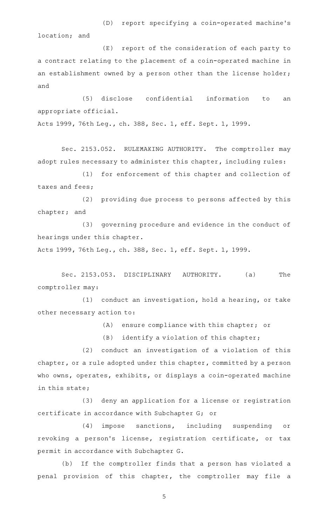(D) report specifying a coin-operated machine's location; and

(E) report of the consideration of each party to a contract relating to the placement of a coin-operated machine in an establishment owned by a person other than the license holder; and

(5) disclose confidential information to an appropriate official.

Acts 1999, 76th Leg., ch. 388, Sec. 1, eff. Sept. 1, 1999.

Sec. 2153.052. RULEMAKING AUTHORITY. The comptroller may adopt rules necessary to administer this chapter, including rules:

(1) for enforcement of this chapter and collection of taxes and fees;

(2) providing due process to persons affected by this chapter; and

(3) governing procedure and evidence in the conduct of hearings under this chapter.

Acts 1999, 76th Leg., ch. 388, Sec. 1, eff. Sept. 1, 1999.

Sec. 2153.053. DISCIPLINARY AUTHORITY. (a) The comptroller may:

 $(1)$  conduct an investigation, hold a hearing, or take other necessary action to:

(A) ensure compliance with this chapter; or

 $(B)$  identify a violation of this chapter;

 $(2)$  conduct an investigation of a violation of this chapter, or a rule adopted under this chapter, committed by a person who owns, operates, exhibits, or displays a coin-operated machine in this state;

(3) deny an application for a license or registration certificate in accordance with Subchapter G; or

(4) impose sanctions, including suspending or revoking a person's license, registration certificate, or tax permit in accordance with Subchapter G.

(b) If the comptroller finds that a person has violated a penal provision of this chapter, the comptroller may file a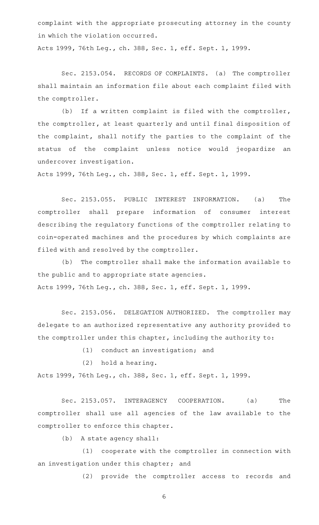complaint with the appropriate prosecuting attorney in the county in which the violation occurred.

Acts 1999, 76th Leg., ch. 388, Sec. 1, eff. Sept. 1, 1999.

Sec. 2153.054. RECORDS OF COMPLAINTS. (a) The comptroller shall maintain an information file about each complaint filed with the comptroller.

(b) If a written complaint is filed with the comptroller, the comptroller, at least quarterly and until final disposition of the complaint, shall notify the parties to the complaint of the status of the complaint unless notice would jeopardize an undercover investigation.

Acts 1999, 76th Leg., ch. 388, Sec. 1, eff. Sept. 1, 1999.

Sec. 2153.055. PUBLIC INTEREST INFORMATION. (a) The comptroller shall prepare information of consumer interest describing the regulatory functions of the comptroller relating to coin-operated machines and the procedures by which complaints are filed with and resolved by the comptroller.

(b) The comptroller shall make the information available to the public and to appropriate state agencies. Acts 1999, 76th Leg., ch. 388, Sec. 1, eff. Sept. 1, 1999.

Sec. 2153.056. DELEGATION AUTHORIZED. The comptroller may delegate to an authorized representative any authority provided to the comptroller under this chapter, including the authority to:

 $(1)$  conduct an investigation; and

(2) hold a hearing.

Acts 1999, 76th Leg., ch. 388, Sec. 1, eff. Sept. 1, 1999.

Sec. 2153.057. INTERAGENCY COOPERATION. (a) The comptroller shall use all agencies of the law available to the comptroller to enforce this chapter.

(b) A state agency shall:

(1) cooperate with the comptroller in connection with an investigation under this chapter; and

(2) provide the comptroller access to records and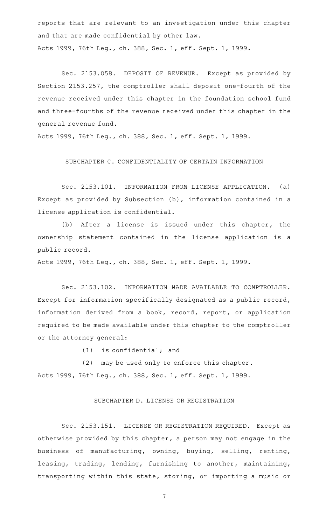reports that are relevant to an investigation under this chapter and that are made confidential by other law. Acts 1999, 76th Leg., ch. 388, Sec. 1, eff. Sept. 1, 1999.

Sec. 2153.058. DEPOSIT OF REVENUE. Except as provided by Section 2153.257, the comptroller shall deposit one-fourth of the revenue received under this chapter in the foundation school fund and three-fourths of the revenue received under this chapter in the general revenue fund.

Acts 1999, 76th Leg., ch. 388, Sec. 1, eff. Sept. 1, 1999.

SUBCHAPTER C. CONFIDENTIALITY OF CERTAIN INFORMATION

Sec. 2153.101. INFORMATION FROM LICENSE APPLICATION. (a) Except as provided by Subsection (b), information contained in a license application is confidential.

(b) After a license is issued under this chapter, the ownership statement contained in the license application is a public record.

Acts 1999, 76th Leg., ch. 388, Sec. 1, eff. Sept. 1, 1999.

Sec. 2153.102. INFORMATION MADE AVAILABLE TO COMPTROLLER. Except for information specifically designated as a public record, information derived from a book, record, report, or application required to be made available under this chapter to the comptroller or the attorney general:

 $(1)$  is confidential; and

(2) may be used only to enforce this chapter. Acts 1999, 76th Leg., ch. 388, Sec. 1, eff. Sept. 1, 1999.

## SUBCHAPTER D. LICENSE OR REGISTRATION

Sec. 2153.151. LICENSE OR REGISTRATION REQUIRED. Except as otherwise provided by this chapter, a person may not engage in the business of manufacturing, owning, buying, selling, renting, leasing, trading, lending, furnishing to another, maintaining, transporting within this state, storing, or importing a music or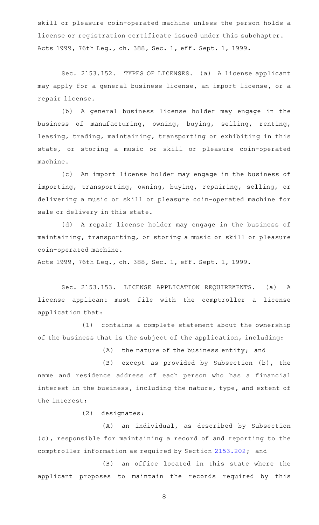skill or pleasure coin-operated machine unless the person holds a license or registration certificate issued under this subchapter. Acts 1999, 76th Leg., ch. 388, Sec. 1, eff. Sept. 1, 1999.

Sec. 2153.152. TYPES OF LICENSES. (a) A license applicant may apply for a general business license, an import license, or a repair license.

(b) A general business license holder may engage in the business of manufacturing, owning, buying, selling, renting, leasing, trading, maintaining, transporting or exhibiting in this state, or storing a music or skill or pleasure coin-operated machine.

(c) An import license holder may engage in the business of importing, transporting, owning, buying, repairing, selling, or delivering a music or skill or pleasure coin-operated machine for sale or delivery in this state.

(d) A repair license holder may engage in the business of maintaining, transporting, or storing a music or skill or pleasure coin-operated machine.

Acts 1999, 76th Leg., ch. 388, Sec. 1, eff. Sept. 1, 1999.

Sec. 2153.153. LICENSE APPLICATION REQUIREMENTS. (a) A license applicant must file with the comptroller a license application that:

(1) contains a complete statement about the ownership of the business that is the subject of the application, including:

 $(A)$  the nature of the business entity; and

 $(B)$  except as provided by Subsection (b), the name and residence address of each person who has a financial interest in the business, including the nature, type, and extent of the interest;

(2) designates:

(A) an individual, as described by Subsection (c), responsible for maintaining a record of and reporting to the comptroller information as required by Section [2153.202](http://www.statutes.legis.state.tx.us/GetStatute.aspx?Code=OC&Value=2153.202); and

 $(B)$  an office located in this state where the applicant proposes to maintain the records required by this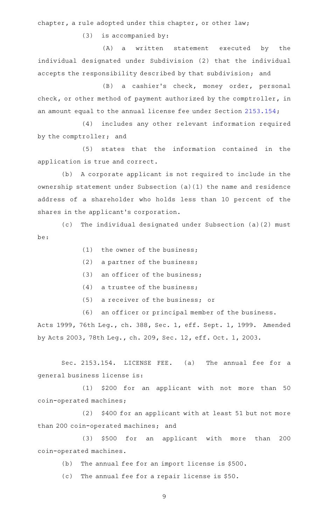chapter, a rule adopted under this chapter, or other law;

 $(3)$  is accompanied by:

(A) a written statement executed by the individual designated under Subdivision (2) that the individual accepts the responsibility described by that subdivision; and

(B) a cashier's check, money order, personal check, or other method of payment authorized by the comptroller, in an amount equal to the annual license fee under Section [2153.154;](http://www.statutes.legis.state.tx.us/GetStatute.aspx?Code=OC&Value=2153.154)

(4) includes any other relevant information required by the comptroller; and

(5) states that the information contained in the application is true and correct.

(b) A corporate applicant is not required to include in the ownership statement under Subsection (a)(1) the name and residence address of a shareholder who holds less than 10 percent of the shares in the applicant 's corporation.

(c) The individual designated under Subsection (a)(2) must be:

- (1) the owner of the business;
- (2) a partner of the business;
- $(3)$  an officer of the business;
- $(4)$  a trustee of the business;
- $(5)$  a receiver of the business; or
- (6) an officer or principal member of the business.

Acts 1999, 76th Leg., ch. 388, Sec. 1, eff. Sept. 1, 1999. Amended by Acts 2003, 78th Leg., ch. 209, Sec. 12, eff. Oct. 1, 2003.

Sec. 2153.154. LICENSE FEE. (a) The annual fee for a general business license is:

(1) \$200 for an applicant with not more than 50 coin-operated machines;

(2) \$400 for an applicant with at least 51 but not more than 200 coin-operated machines; and

(3) \$500 for an applicant with more than 200 coin-operated machines.

 $(b)$  The annual fee for an import license is \$500.

(c) The annual fee for a repair license is \$50.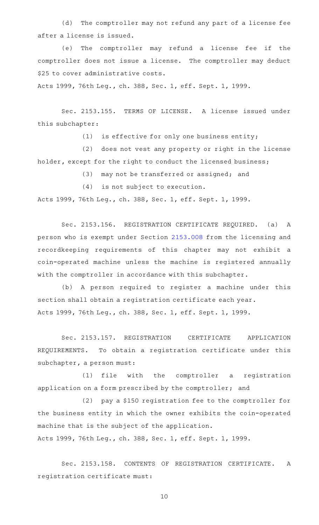(d) The comptroller may not refund any part of a license fee after a license is issued.

(e) The comptroller may refund a license fee if the comptroller does not issue a license. The comptroller may deduct \$25 to cover administrative costs.

Acts 1999, 76th Leg., ch. 388, Sec. 1, eff. Sept. 1, 1999.

Sec. 2153.155. TERMS OF LICENSE. A license issued under this subchapter:

(1) is effective for only one business entity;

(2) does not vest any property or right in the license holder, except for the right to conduct the licensed business;

(3) may not be transferred or assigned; and

 $(4)$  is not subject to execution.

Acts 1999, 76th Leg., ch. 388, Sec. 1, eff. Sept. 1, 1999.

Sec. 2153.156. REGISTRATION CERTIFICATE REQUIRED. (a) A person who is exempt under Section [2153.008](http://www.statutes.legis.state.tx.us/GetStatute.aspx?Code=OC&Value=2153.008) from the licensing and recordkeeping requirements of this chapter may not exhibit a coin-operated machine unless the machine is registered annually with the comptroller in accordance with this subchapter.

(b) A person required to register a machine under this section shall obtain a registration certificate each year. Acts 1999, 76th Leg., ch. 388, Sec. 1, eff. Sept. 1, 1999.

Sec. 2153.157. REGISTRATION CERTIFICATE APPLICATION REQUIREMENTS. To obtain a registration certificate under this subchapter, a person must:

(1) file with the comptroller a registration application on a form prescribed by the comptroller; and

(2) pay a \$150 registration fee to the comptroller for the business entity in which the owner exhibits the coin-operated machine that is the subject of the application. Acts 1999, 76th Leg., ch. 388, Sec. 1, eff. Sept. 1, 1999.

Sec. 2153.158. CONTENTS OF REGISTRATION CERTIFICATE. A registration certificate must: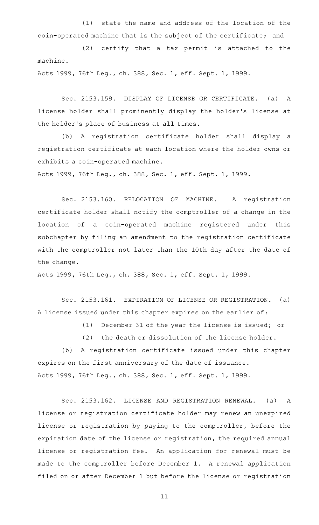(1) state the name and address of the location of the coin-operated machine that is the subject of the certificate; and

(2) certify that a tax permit is attached to the machine.

Acts 1999, 76th Leg., ch. 388, Sec. 1, eff. Sept. 1, 1999.

Sec. 2153.159. DISPLAY OF LICENSE OR CERTIFICATE. (a) A license holder shall prominently display the holder 's license at the holder 's place of business at all times.

(b) A registration certificate holder shall display a registration certificate at each location where the holder owns or exhibits a coin-operated machine.

Acts 1999, 76th Leg., ch. 388, Sec. 1, eff. Sept. 1, 1999.

Sec. 2153.160. RELOCATION OF MACHINE. A registration certificate holder shall notify the comptroller of a change in the location of a coin-operated machine registered under this subchapter by filing an amendment to the registration certificate with the comptroller not later than the 10th day after the date of the change.

Acts 1999, 76th Leg., ch. 388, Sec. 1, eff. Sept. 1, 1999.

Sec. 2153.161. EXPIRATION OF LICENSE OR REGISTRATION. (a) A license issued under this chapter expires on the earlier of:

(1) December 31 of the year the license is issued; or

(2) the death or dissolution of the license holder.

(b) A registration certificate issued under this chapter expires on the first anniversary of the date of issuance. Acts 1999, 76th Leg., ch. 388, Sec. 1, eff. Sept. 1, 1999.

Sec. 2153.162. LICENSE AND REGISTRATION RENEWAL. (a) A license or registration certificate holder may renew an unexpired license or registration by paying to the comptroller, before the expiration date of the license or registration, the required annual license or registration fee. An application for renewal must be made to the comptroller before December 1. A renewal application filed on or after December 1 but before the license or registration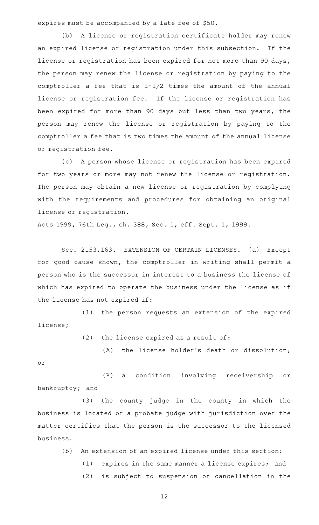expires must be accompanied by a late fee of \$50.

(b) A license or registration certificate holder may renew an expired license or registration under this subsection. If the license or registration has been expired for not more than 90 days, the person may renew the license or registration by paying to the comptroller a fee that is 1-1/2 times the amount of the annual license or registration fee. If the license or registration has been expired for more than 90 days but less than two years, the person may renew the license or registration by paying to the comptroller a fee that is two times the amount of the annual license or registration fee.

(c) A person whose license or registration has been expired for two years or more may not renew the license or registration. The person may obtain a new license or registration by complying with the requirements and procedures for obtaining an original license or registration.

Acts 1999, 76th Leg., ch. 388, Sec. 1, eff. Sept. 1, 1999.

Sec. 2153.163. EXTENSION OF CERTAIN LICENSES. (a) Except for good cause shown, the comptroller in writing shall permit a person who is the successor in interest to a business the license of which has expired to operate the business under the license as if the license has not expired if:

(1) the person requests an extension of the expired license;

 $(2)$  the license expired as a result of:

(A) the license holder's death or dissolution; or

(B) a condition involving receivership or bankruptcy; and

(3) the county judge in the county in which the business is located or a probate judge with jurisdiction over the matter certifies that the person is the successor to the licensed business.

- (b) An extension of an expired license under this section:
	- (1) expires in the same manner a license expires; and
	- (2) is subject to suspension or cancellation in the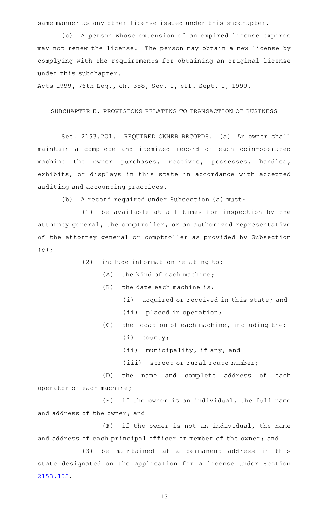same manner as any other license issued under this subchapter.

(c) A person whose extension of an expired license expires may not renew the license. The person may obtain a new license by complying with the requirements for obtaining an original license under this subchapter.

Acts 1999, 76th Leg., ch. 388, Sec. 1, eff. Sept. 1, 1999.

# SUBCHAPTER E. PROVISIONS RELATING TO TRANSACTION OF BUSINESS

Sec. 2153.201. REQUIRED OWNER RECORDS. (a) An owner shall maintain a complete and itemized record of each coin-operated machine the owner purchases, receives, possesses, handles, exhibits, or displays in this state in accordance with accepted auditing and accounting practices.

(b) A record required under Subsection (a) must:

 $(1)$  be available at all times for inspection by the attorney general, the comptroller, or an authorized representative of the attorney general or comptroller as provided by Subsection  $(c)$ ;

- $(2)$  include information relating to:
	- $(A)$  the kind of each machine;
	- $(B)$  the date each machine is:
		- (i) acquired or received in this state; and
			- (ii) placed in operation;
	- (C) the location of each machine, including the:
		- $(i)$  county;
		- $(iii)$  municipality, if any; and
		- (iii) street or rural route number;

(D) the name and complete address of each operator of each machine;

 $(E)$  if the owner is an individual, the full name and address of the owner; and

 $(F)$  if the owner is not an individual, the name and address of each principal officer or member of the owner; and

(3) be maintained at a permanent address in this state designated on the application for a license under Section [2153.153](http://www.statutes.legis.state.tx.us/GetStatute.aspx?Code=OC&Value=2153.153).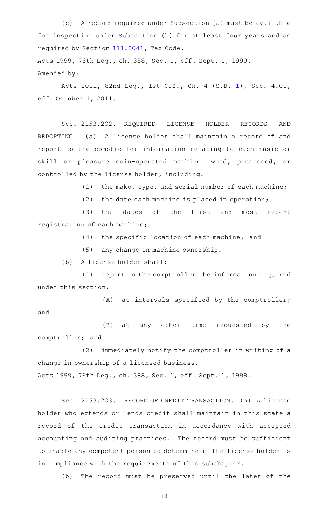(c) A record required under Subsection (a) must be available for inspection under Subsection (b) for at least four years and as required by Section [111.0041,](http://www.statutes.legis.state.tx.us/GetStatute.aspx?Code=TX&Value=111.0041) Tax Code.

Acts 1999, 76th Leg., ch. 388, Sec. 1, eff. Sept. 1, 1999. Amended by:

Acts 2011, 82nd Leg., 1st C.S., Ch. 4 (S.B. [1](http://www.legis.state.tx.us/tlodocs/821/billtext/html/SB00001F.HTM)), Sec. 4.01, eff. October 1, 2011.

Sec. 2153.202. REQUIRED LICENSE HOLDER RECORDS AND REPORTING. (a) A license holder shall maintain a record of and report to the comptroller information relating to each music or skill or pleasure coin-operated machine owned, possessed, or controlled by the license holder, including:

(1) the make, type, and serial number of each machine;

 $(2)$  the date each machine is placed in operation;

(3) the dates of the first and most recent registration of each machine;

(4) the specific location of each machine; and

(5) any change in machine ownership.

(b) A license holder shall:

(1) report to the comptroller the information required under this section:

 $(A)$  at intervals specified by the comptroller; and

(B) at any other time requested by the comptroller; and

(2) immediately notify the comptroller in writing of a change in ownership of a licensed business. Acts 1999, 76th Leg., ch. 388, Sec. 1, eff. Sept. 1, 1999.

Sec. 2153.203. RECORD OF CREDIT TRANSACTION. (a) A license holder who extends or lends credit shall maintain in this state a record of the credit transaction in accordance with accepted accounting and auditing practices. The record must be sufficient to enable any competent person to determine if the license holder is in compliance with the requirements of this subchapter.

(b) The record must be preserved until the later of the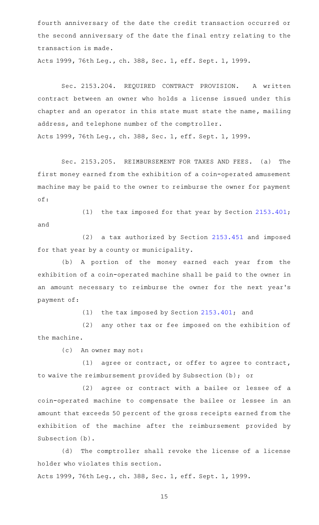fourth anniversary of the date the credit transaction occurred or the second anniversary of the date the final entry relating to the transaction is made.

Acts 1999, 76th Leg., ch. 388, Sec. 1, eff. Sept. 1, 1999.

Sec. 2153.204. REQUIRED CONTRACT PROVISION. A written contract between an owner who holds a license issued under this chapter and an operator in this state must state the name, mailing address, and telephone number of the comptroller. Acts 1999, 76th Leg., ch. 388, Sec. 1, eff. Sept. 1, 1999.

Sec. 2153.205. REIMBURSEMENT FOR TAXES AND FEES. (a) The first money earned from the exhibition of a coin-operated amusement machine may be paid to the owner to reimburse the owner for payment of:

(1) the tax imposed for that year by Section  $2153.401$ ; and

 $(2)$  a tax authorized by Section [2153.451](http://www.statutes.legis.state.tx.us/GetStatute.aspx?Code=OC&Value=2153.451) and imposed for that year by a county or municipality.

(b) A portion of the money earned each year from the exhibition of a coin-operated machine shall be paid to the owner in an amount necessary to reimburse the owner for the next year 's payment of:

(1) the tax imposed by Section  $2153.401$ ; and

(2) any other tax or fee imposed on the exhibition of the machine.

(c) An owner may not:

(1) agree or contract, or offer to agree to contract, to waive the reimbursement provided by Subsection (b); or

(2) agree or contract with a bailee or lessee of a coin-operated machine to compensate the bailee or lessee in an amount that exceeds 50 percent of the gross receipts earned from the exhibition of the machine after the reimbursement provided by Subsection (b).

(d) The comptroller shall revoke the license of a license holder who violates this section.

Acts 1999, 76th Leg., ch. 388, Sec. 1, eff. Sept. 1, 1999.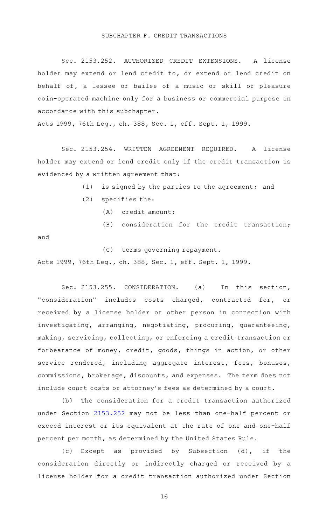# SUBCHAPTER F. CREDIT TRANSACTIONS

Sec. 2153.252. AUTHORIZED CREDIT EXTENSIONS. A license holder may extend or lend credit to, or extend or lend credit on behalf of, a lessee or bailee of a music or skill or pleasure coin-operated machine only for a business or commercial purpose in accordance with this subchapter.

Acts 1999, 76th Leg., ch. 388, Sec. 1, eff. Sept. 1, 1999.

Sec. 2153.254. WRITTEN AGREEMENT REQUIRED. A license holder may extend or lend credit only if the credit transaction is evidenced by a written agreement that:

 $(1)$  is signed by the parties to the agreement; and

- $(2)$  specifies the:
	- $(A)$  credit amount;
	- (B) consideration for the credit transaction;

and

(C) terms governing repayment.

Acts 1999, 76th Leg., ch. 388, Sec. 1, eff. Sept. 1, 1999.

Sec. 2153.255. CONSIDERATION. (a) In this section, "consideration" includes costs charged, contracted for, or received by a license holder or other person in connection with investigating, arranging, negotiating, procuring, guaranteeing, making, servicing, collecting, or enforcing a credit transaction or forbearance of money, credit, goods, things in action, or other service rendered, including aggregate interest, fees, bonuses, commissions, brokerage, discounts, and expenses. The term does not include court costs or attorney 's fees as determined by a court.

(b) The consideration for a credit transaction authorized under Section [2153.252](http://www.statutes.legis.state.tx.us/GetStatute.aspx?Code=OC&Value=2153.252) may not be less than one-half percent or exceed interest or its equivalent at the rate of one and one-half percent per month, as determined by the United States Rule.

(c) Except as provided by Subsection (d), if the consideration directly or indirectly charged or received by a license holder for a credit transaction authorized under Section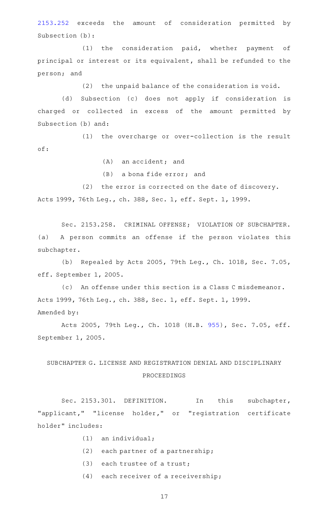[2153.252](http://www.statutes.legis.state.tx.us/GetStatute.aspx?Code=OC&Value=2153.252) exceeds the amount of consideration permitted by Subsection (b):

(1) the consideration paid, whether payment of principal or interest or its equivalent, shall be refunded to the person; and

 $(2)$  the unpaid balance of the consideration is void.

(d) Subsection (c) does not apply if consideration is charged or collected in excess of the amount permitted by Subsection (b) and:

(1) the overcharge or over-collection is the result of:

 $(A)$  an accident; and

 $(B)$  a bona fide error; and

(2) the error is corrected on the date of discovery. Acts 1999, 76th Leg., ch. 388, Sec. 1, eff. Sept. 1, 1999.

Sec. 2153.258. CRIMINAL OFFENSE; VIOLATION OF SUBCHAPTER. (a) A person commits an offense if the person violates this subchapter.

(b) Repealed by Acts 2005, 79th Leg., Ch. 1018, Sec. 7.05, eff. September 1, 2005.

(c) An offense under this section is a Class C misdemeanor. Acts 1999, 76th Leg., ch. 388, Sec. 1, eff. Sept. 1, 1999. Amended by:

Acts 2005, 79th Leg., Ch. 1018 (H.B. [955](http://www.legis.state.tx.us/tlodocs/79R/billtext/html/HB00955F.HTM)), Sec. 7.05, eff. September 1, 2005.

# SUBCHAPTER G. LICENSE AND REGISTRATION DENIAL AND DISCIPLINARY PROCEEDINGS

Sec. 2153.301. DEFINITION. In this subchapter, "applicant," "license holder," or "registration certificate holder" includes:

- $(1)$  an individual;
- $(2)$  each partner of a partnership;
- $(3)$  each trustee of a trust;
- $(4)$  each receiver of a receivership;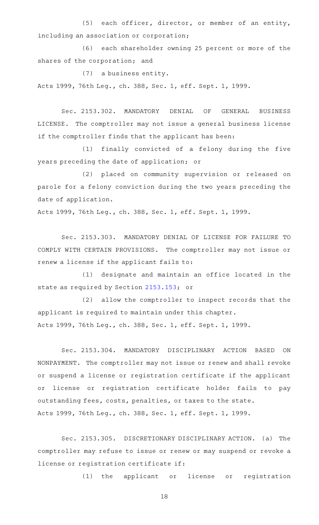$(5)$  each officer, director, or member of an entity, including an association or corporation;

(6) each shareholder owning 25 percent or more of the shares of the corporation; and

(7) a business entity.

Acts 1999, 76th Leg., ch. 388, Sec. 1, eff. Sept. 1, 1999.

Sec. 2153.302. MANDATORY DENIAL OF GENERAL BUSINESS LICENSE. The comptroller may not issue a general business license if the comptroller finds that the applicant has been:

(1) finally convicted of a felony during the five years preceding the date of application; or

(2) placed on community supervision or released on parole for a felony conviction during the two years preceding the date of application.

Acts 1999, 76th Leg., ch. 388, Sec. 1, eff. Sept. 1, 1999.

Sec. 2153.303. MANDATORY DENIAL OF LICENSE FOR FAILURE TO COMPLY WITH CERTAIN PROVISIONS. The comptroller may not issue or renew a license if the applicant fails to:

(1) designate and maintain an office located in the state as required by Section [2153.153;](http://www.statutes.legis.state.tx.us/GetStatute.aspx?Code=OC&Value=2153.153) or

(2) allow the comptroller to inspect records that the applicant is required to maintain under this chapter.

Acts 1999, 76th Leg., ch. 388, Sec. 1, eff. Sept. 1, 1999.

Sec. 2153.304. MANDATORY DISCIPLINARY ACTION BASED ON NONPAYMENT. The comptroller may not issue or renew and shall revoke or suspend a license or registration certificate if the applicant or license or registration certificate holder fails to pay outstanding fees, costs, penalties, or taxes to the state. Acts 1999, 76th Leg., ch. 388, Sec. 1, eff. Sept. 1, 1999.

Sec. 2153.305. DISCRETIONARY DISCIPLINARY ACTION. (a) The comptroller may refuse to issue or renew or may suspend or revoke a license or registration certificate if:

(1) the applicant or license or registration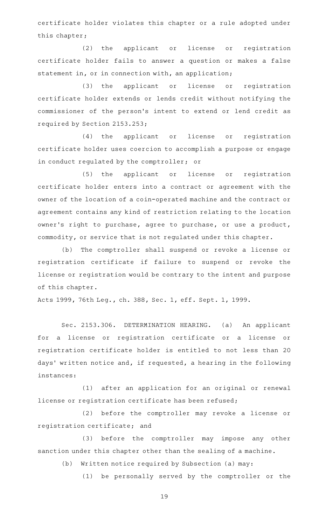certificate holder violates this chapter or a rule adopted under this chapter;

(2) the applicant or license or registration certificate holder fails to answer a question or makes a false statement in, or in connection with, an application;

(3) the applicant or license or registration certificate holder extends or lends credit without notifying the commissioner of the person 's intent to extend or lend credit as required by Section 2153.253;

(4) the applicant or license or registration certificate holder uses coercion to accomplish a purpose or engage in conduct regulated by the comptroller; or

(5) the applicant or license or registration certificate holder enters into a contract or agreement with the owner of the location of a coin-operated machine and the contract or agreement contains any kind of restriction relating to the location owner 's right to purchase, agree to purchase, or use a product, commodity, or service that is not regulated under this chapter.

(b) The comptroller shall suspend or revoke a license or registration certificate if failure to suspend or revoke the license or registration would be contrary to the intent and purpose of this chapter.

Acts 1999, 76th Leg., ch. 388, Sec. 1, eff. Sept. 1, 1999.

Sec. 2153.306. DETERMINATION HEARING. (a) An applicant for a license or registration certificate or a license or registration certificate holder is entitled to not less than 20 days' written notice and, if requested, a hearing in the following instances:

(1) after an application for an original or renewal license or registration certificate has been refused;

(2) before the comptroller may revoke a license or registration certificate; and

(3) before the comptroller may impose any other sanction under this chapter other than the sealing of a machine.

(b) Written notice required by Subsection (a) may:

(1) be personally served by the comptroller or the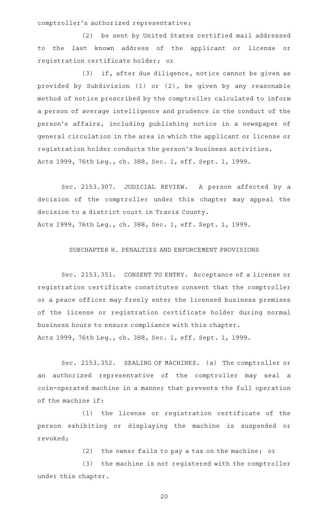comptroller 's authorized representative;

(2) be sent by United States certified mail addressed to the last known address of the applicant or license or registration certificate holder; or

 $(3)$  if, after due diligence, notice cannot be given as provided by Subdivision (1) or (2), be given by any reasonable method of notice prescribed by the comptroller calculated to inform a person of average intelligence and prudence in the conduct of the person 's affairs, including publishing notice in a newspaper of general circulation in the area in which the applicant or license or registration holder conducts the person 's business activities. Acts 1999, 76th Leg., ch. 388, Sec. 1, eff. Sept. 1, 1999.

Sec. 2153.307. JUDICIAL REVIEW. A person affected by a decision of the comptroller under this chapter may appeal the decision to a district court in Travis County. Acts 1999, 76th Leg., ch. 388, Sec. 1, eff. Sept. 1, 1999.

## SUBCHAPTER H. PENALTIES AND ENFORCEMENT PROVISIONS

Sec. 2153.351. CONSENT TO ENTRY. Acceptance of a license or registration certificate constitutes consent that the comptroller or a peace officer may freely enter the licensed business premises of the license or registration certificate holder during normal business hours to ensure compliance with this chapter. Acts 1999, 76th Leg., ch. 388, Sec. 1, eff. Sept. 1, 1999.

Sec. 2153.352. SEALING OF MACHINES. (a) The comptroller or an authorized representative of the comptroller may seal a coin-operated machine in a manner that prevents the full operation of the machine if:

(1) the license or registration certificate of the person exhibiting or displaying the machine is suspended or revoked;

 $(2)$  the owner fails to pay a tax on the machine; or

(3) the machine is not registered with the comptroller under this chapter.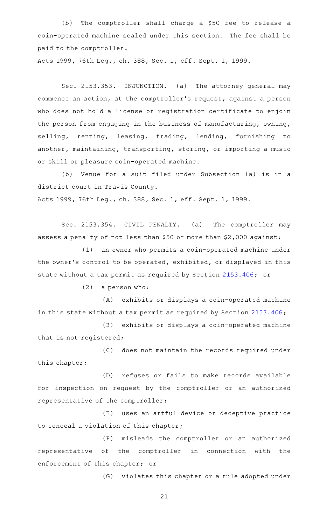(b) The comptroller shall charge a \$50 fee to release a coin-operated machine sealed under this section. The fee shall be paid to the comptroller.

Acts 1999, 76th Leg., ch. 388, Sec. 1, eff. Sept. 1, 1999.

Sec. 2153.353. INJUNCTION. (a) The attorney general may commence an action, at the comptroller 's request, against a person who does not hold a license or registration certificate to enjoin the person from engaging in the business of manufacturing, owning, selling, renting, leasing, trading, lending, furnishing to another, maintaining, transporting, storing, or importing a music or skill or pleasure coin-operated machine.

(b) Venue for a suit filed under Subsection (a) is in a district court in Travis County. Acts 1999, 76th Leg., ch. 388, Sec. 1, eff. Sept. 1, 1999.

Sec. 2153.354. CIVIL PENALTY. (a) The comptroller may assess a penalty of not less than \$50 or more than \$2,000 against:

 $(1)$  an owner who permits a coin-operated machine under the owner 's control to be operated, exhibited, or displayed in this state without a tax permit as required by Section [2153.406](http://www.statutes.legis.state.tx.us/GetStatute.aspx?Code=OC&Value=2153.406); or

 $(2)$  a person who:

(A) exhibits or displays a coin-operated machine in this state without a tax permit as required by Section [2153.406](http://www.statutes.legis.state.tx.us/GetStatute.aspx?Code=OC&Value=2153.406);

(B) exhibits or displays a coin-operated machine that is not registered;

(C) does not maintain the records required under this chapter;

(D) refuses or fails to make records available for inspection on request by the comptroller or an authorized representative of the comptroller;

(E) uses an artful device or deceptive practice to conceal a violation of this chapter;

(F) misleads the comptroller or an authorized representative of the comptroller in connection with the enforcement of this chapter; or

(G) violates this chapter or a rule adopted under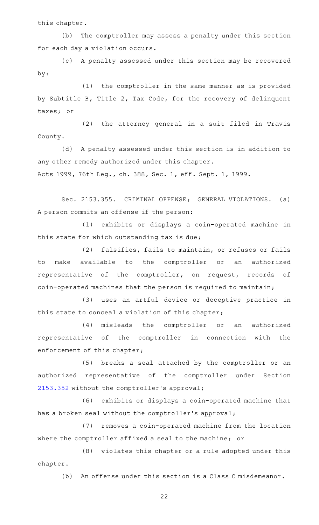this chapter.

(b) The comptroller may assess a penalty under this section for each day a violation occurs.

(c) A penalty assessed under this section may be recovered by:

(1) the comptroller in the same manner as is provided by Subtitle B, Title 2, Tax Code, for the recovery of delinquent taxes; or

 $(2)$  the attorney general in a suit filed in Travis County.

(d) A penalty assessed under this section is in addition to any other remedy authorized under this chapter.

Acts 1999, 76th Leg., ch. 388, Sec. 1, eff. Sept. 1, 1999.

Sec. 2153.355. CRIMINAL OFFENSE; GENERAL VIOLATIONS. (a) A person commits an offense if the person:

(1) exhibits or displays a coin-operated machine in this state for which outstanding tax is due;

(2) falsifies, fails to maintain, or refuses or fails to make available to the comptroller or an authorized representative of the comptroller, on request, records of coin-operated machines that the person is required to maintain;

(3) uses an artful device or deceptive practice in this state to conceal a violation of this chapter;

(4) misleads the comptroller or an authorized representative of the comptroller in connection with the enforcement of this chapter;

(5) breaks a seal attached by the comptroller or an authorized representative of the comptroller under Section [2153.352](http://www.statutes.legis.state.tx.us/GetStatute.aspx?Code=OC&Value=2153.352) without the comptroller 's approval;

(6) exhibits or displays a coin-operated machine that has a broken seal without the comptroller 's approval;

(7) removes a coin-operated machine from the location where the comptroller affixed a seal to the machine; or

(8) violates this chapter or a rule adopted under this chapter.

(b) An offense under this section is a Class C misdemeanor.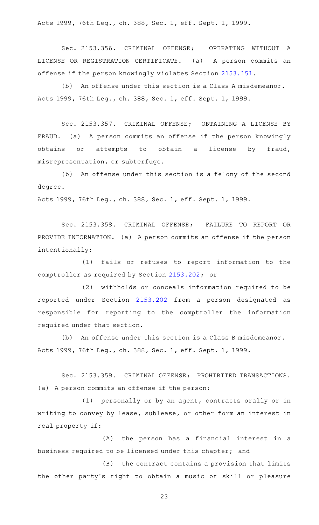Acts 1999, 76th Leg., ch. 388, Sec. 1, eff. Sept. 1, 1999.

Sec. 2153.356. CRIMINAL OFFENSE; OPERATING WITHOUT A LICENSE OR REGISTRATION CERTIFICATE. (a) A person commits an offense if the person knowingly violates Section [2153.151.](http://www.statutes.legis.state.tx.us/GetStatute.aspx?Code=OC&Value=2153.151)

(b) An offense under this section is a Class A misdemeanor. Acts 1999, 76th Leg., ch. 388, Sec. 1, eff. Sept. 1, 1999.

Sec. 2153.357. CRIMINAL OFFENSE; OBTAINING A LICENSE BY FRAUD. (a) A person commits an offense if the person knowingly obtains or attempts to obtain a license by fraud, misrepresentation, or subterfuge.

(b) An offense under this section is a felony of the second degree.

Acts 1999, 76th Leg., ch. 388, Sec. 1, eff. Sept. 1, 1999.

Sec. 2153.358. CRIMINAL OFFENSE; FAILURE TO REPORT OR PROVIDE INFORMATION. (a) A person commits an offense if the person intentionally:

(1) fails or refuses to report information to the comptroller as required by Section [2153.202;](http://www.statutes.legis.state.tx.us/GetStatute.aspx?Code=OC&Value=2153.202) or

(2) withholds or conceals information required to be reported under Section [2153.202](http://www.statutes.legis.state.tx.us/GetStatute.aspx?Code=OC&Value=2153.202) from a person designated as responsible for reporting to the comptroller the information required under that section.

(b) An offense under this section is a Class B misdemeanor. Acts 1999, 76th Leg., ch. 388, Sec. 1, eff. Sept. 1, 1999.

Sec. 2153.359. CRIMINAL OFFENSE; PROHIBITED TRANSACTIONS. (a) A person commits an offense if the person:

 $(1)$  personally or by an agent, contracts orally or in writing to convey by lease, sublease, or other form an interest in real property if:

(A) the person has a financial interest in a business required to be licensed under this chapter; and

(B) the contract contains a provision that limits the other party's right to obtain a music or skill or pleasure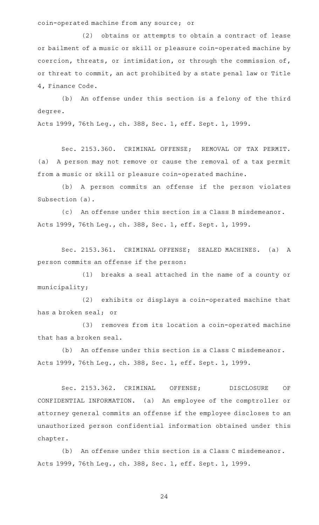coin-operated machine from any source; or

(2) obtains or attempts to obtain a contract of lease or bailment of a music or skill or pleasure coin-operated machine by coercion, threats, or intimidation, or through the commission of, or threat to commit, an act prohibited by a state penal law or Title 4, Finance Code.

(b) An offense under this section is a felony of the third degree.

Acts 1999, 76th Leg., ch. 388, Sec. 1, eff. Sept. 1, 1999.

Sec. 2153.360. CRIMINAL OFFENSE; REMOVAL OF TAX PERMIT. (a) A person may not remove or cause the removal of a tax permit from a music or skill or pleasure coin-operated machine.

(b) A person commits an offense if the person violates Subsection (a).

(c) An offense under this section is a Class B misdemeanor. Acts 1999, 76th Leg., ch. 388, Sec. 1, eff. Sept. 1, 1999.

Sec. 2153.361. CRIMINAL OFFENSE; SEALED MACHINES. (a) A person commits an offense if the person:

(1) breaks a seal attached in the name of a county or municipality;

(2) exhibits or displays a coin-operated machine that has a broken seal; or

(3) removes from its location a coin-operated machine that has a broken seal.

(b) An offense under this section is a Class C misdemeanor. Acts 1999, 76th Leg., ch. 388, Sec. 1, eff. Sept. 1, 1999.

Sec. 2153.362. CRIMINAL OFFENSE; DISCLOSURE OF CONFIDENTIAL INFORMATION. (a) An employee of the comptroller or attorney general commits an offense if the employee discloses to an unauthorized person confidential information obtained under this chapter.

(b) An offense under this section is a Class C misdemeanor. Acts 1999, 76th Leg., ch. 388, Sec. 1, eff. Sept. 1, 1999.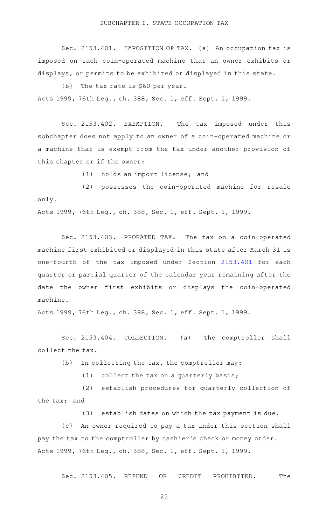Sec. 2153.401. IMPOSITION OF TAX. (a) An occupation tax is imposed on each coin-operated machine that an owner exhibits or displays, or permits to be exhibited or displayed in this state.

(b) The tax rate is  $$60$  per year. Acts 1999, 76th Leg., ch. 388, Sec. 1, eff. Sept. 1, 1999.

Sec. 2153.402. EXEMPTION. The tax imposed under this subchapter does not apply to an owner of a coin-operated machine or a machine that is exempt from the tax under another provision of this chapter or if the owner:

(1) holds an import license; and

(2) possesses the coin-operated machine for resale only.

Acts 1999, 76th Leg., ch. 388, Sec. 1, eff. Sept. 1, 1999.

Sec. 2153.403. PRORATED TAX. The tax on a coin-operated machine first exhibited or displayed in this state after March 31 is one-fourth of the tax imposed under Section [2153.401](http://www.statutes.legis.state.tx.us/GetStatute.aspx?Code=OC&Value=2153.401) for each quarter or partial quarter of the calendar year remaining after the date the owner first exhibits or displays the coin-operated machine.

Acts 1999, 76th Leg., ch. 388, Sec. 1, eff. Sept. 1, 1999.

Sec. 2153.404. COLLECTION. (a) The comptroller shall collect the tax.

(b) In collecting the tax, the comptroller may:

(1) collect the tax on a quarterly basis;

(2) establish procedures for quarterly collection of the tax; and

(3) establish dates on which the tax payment is due.

(c) An owner required to pay a tax under this section shall pay the tax to the comptroller by cashier 's check or money order. Acts 1999, 76th Leg., ch. 388, Sec. 1, eff. Sept. 1, 1999.

Sec. 2153.405. REFUND OR CREDIT PROHIBITED. The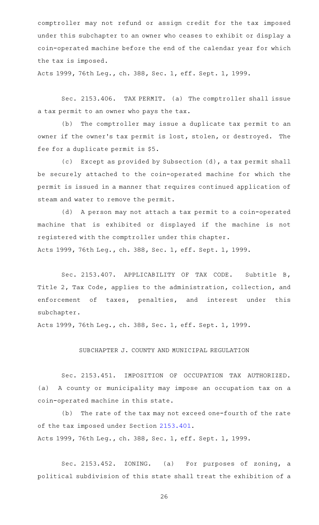comptroller may not refund or assign credit for the tax imposed under this subchapter to an owner who ceases to exhibit or display a coin-operated machine before the end of the calendar year for which the tax is imposed.

Acts 1999, 76th Leg., ch. 388, Sec. 1, eff. Sept. 1, 1999.

Sec. 2153.406. TAX PERMIT. (a) The comptroller shall issue a tax permit to an owner who pays the tax.

(b) The comptroller may issue a duplicate tax permit to an owner if the owner 's tax permit is lost, stolen, or destroyed. The fee for a duplicate permit is \$5.

(c) Except as provided by Subsection (d), a tax permit shall be securely attached to the coin-operated machine for which the permit is issued in a manner that requires continued application of steam and water to remove the permit.

(d) A person may not attach a tax permit to a coin-operated machine that is exhibited or displayed if the machine is not registered with the comptroller under this chapter. Acts 1999, 76th Leg., ch. 388, Sec. 1, eff. Sept. 1, 1999.

Sec. 2153.407. APPLICABILITY OF TAX CODE. Subtitle B, Title 2, Tax Code, applies to the administration, collection, and enforcement of taxes, penalties, and interest under this subchapter.

Acts 1999, 76th Leg., ch. 388, Sec. 1, eff. Sept. 1, 1999.

## SUBCHAPTER J. COUNTY AND MUNICIPAL REGULATION

Sec. 2153.451. IMPOSITION OF OCCUPATION TAX AUTHORIZED. (a) A county or municipality may impose an occupation tax on a coin-operated machine in this state.

(b) The rate of the tax may not exceed one-fourth of the rate of the tax imposed under Section [2153.401](http://www.statutes.legis.state.tx.us/GetStatute.aspx?Code=OC&Value=2153.401). Acts 1999, 76th Leg., ch. 388, Sec. 1, eff. Sept. 1, 1999.

Sec. 2153.452. ZONING. (a) For purposes of zoning, a political subdivision of this state shall treat the exhibition of a